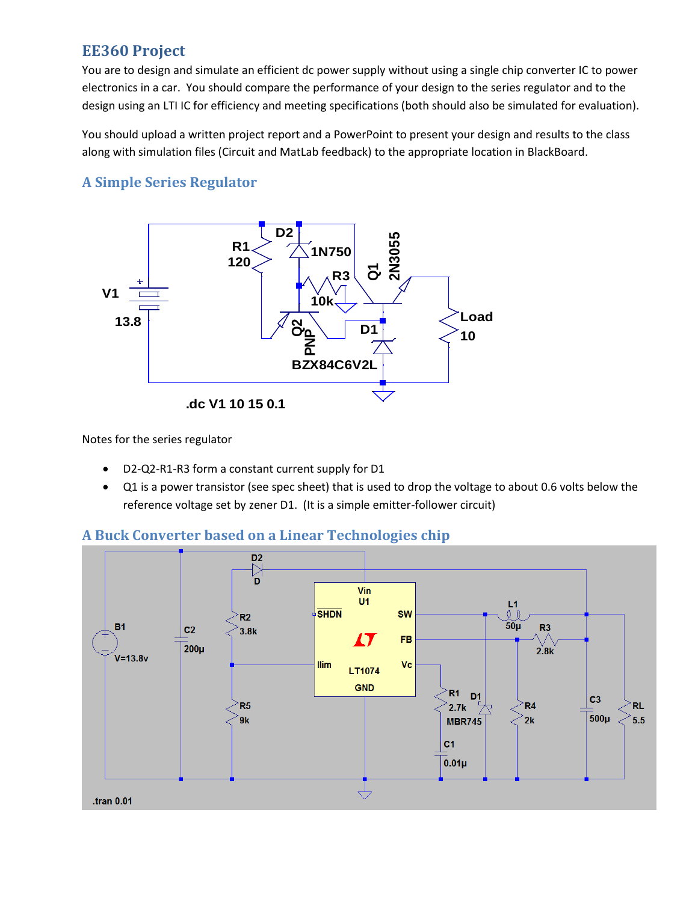## **EE360 Project**

You are to design and simulate an efficient dc power supply without using a single chip converter IC to power electronics in a car. You should compare the performance of your design to the series regulator and to the design using an LTI IC for efficiency and meeting specifications (both should also be simulated for evaluation).

You should upload a written project report and a PowerPoint to present your design and results to the class along with simulation files (Circuit and MatLab feedback) to the appropriate location in BlackBoard.

## **A Simple Series Regulator**



Notes for the series regulator

- D2-Q2-R1-R3 form a constant current supply for D1
- Q1 is a power transistor (see spec sheet) that is used to drop the voltage to about 0.6 volts below the reference voltage set by zener D1. (It is a simple emitter-follower circuit)

## **A Buck Converter based on a Linear Technologies chip**